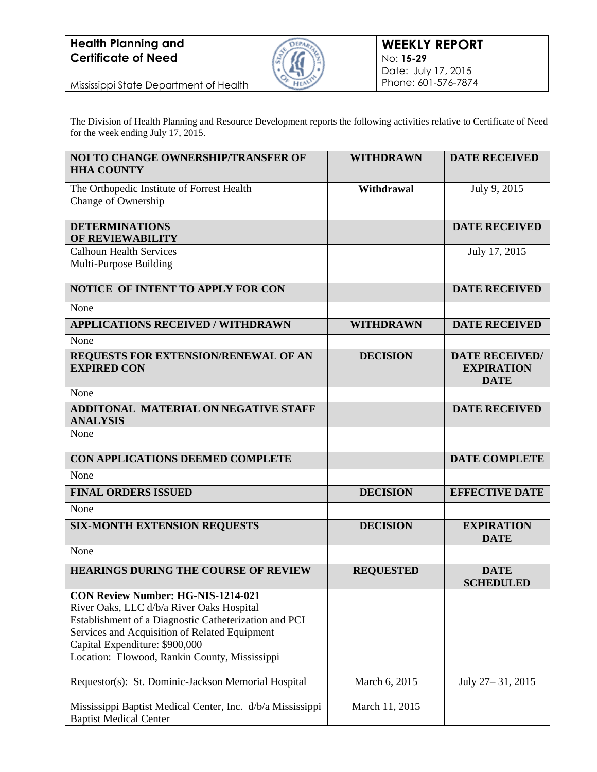## **Health Planning and Certificate of Need**



Mississippi State Department of Health

The Division of Health Planning and Resource Development reports the following activities relative to Certificate of Need for the week ending July 17, 2015.

| <b>NOI TO CHANGE OWNERSHIP/TRANSFER OF</b><br><b>HHA COUNTY</b>                             | <b>WITHDRAWN</b> | <b>DATE RECEIVED</b>                                      |
|---------------------------------------------------------------------------------------------|------------------|-----------------------------------------------------------|
| The Orthopedic Institute of Forrest Health<br>Change of Ownership                           | Withdrawal       | July 9, 2015                                              |
| <b>DETERMINATIONS</b>                                                                       |                  | <b>DATE RECEIVED</b>                                      |
| OF REVIEWABILITY                                                                            |                  |                                                           |
| <b>Calhoun Health Services</b><br>Multi-Purpose Building                                    |                  | July 17, 2015                                             |
| <b>NOTICE OF INTENT TO APPLY FOR CON</b>                                                    |                  | <b>DATE RECEIVED</b>                                      |
| None                                                                                        |                  |                                                           |
| <b>APPLICATIONS RECEIVED / WITHDRAWN</b>                                                    | <b>WITHDRAWN</b> | <b>DATE RECEIVED</b>                                      |
| None                                                                                        |                  |                                                           |
| REQUESTS FOR EXTENSION/RENEWAL OF AN<br><b>EXPIRED CON</b>                                  | <b>DECISION</b>  | <b>DATE RECEIVED/</b><br><b>EXPIRATION</b><br><b>DATE</b> |
| None                                                                                        |                  |                                                           |
| <b>ADDITONAL MATERIAL ON NEGATIVE STAFF</b><br><b>ANALYSIS</b>                              |                  | <b>DATE RECEIVED</b>                                      |
| None                                                                                        |                  |                                                           |
| CON APPLICATIONS DEEMED COMPLETE                                                            |                  | <b>DATE COMPLETE</b>                                      |
| None                                                                                        |                  |                                                           |
| <b>FINAL ORDERS ISSUED</b>                                                                  | <b>DECISION</b>  | <b>EFFECTIVE DATE</b>                                     |
| None                                                                                        |                  |                                                           |
| <b>SIX-MONTH EXTENSION REQUESTS</b>                                                         | <b>DECISION</b>  | <b>EXPIRATION</b><br><b>DATE</b>                          |
| None                                                                                        |                  |                                                           |
| <b>HEARINGS DURING THE COURSE OF REVIEW</b>                                                 | <b>REQUESTED</b> | <b>DATE</b><br><b>SCHEDULED</b>                           |
| <b>CON Review Number: HG-NIS-1214-021</b>                                                   |                  |                                                           |
| River Oaks, LLC d/b/a River Oaks Hospital                                                   |                  |                                                           |
| Establishment of a Diagnostic Catheterization and PCI                                       |                  |                                                           |
| Services and Acquisition of Related Equipment<br>Capital Expenditure: \$900,000             |                  |                                                           |
| Location: Flowood, Rankin County, Mississippi                                               |                  |                                                           |
| Requestor(s): St. Dominic-Jackson Memorial Hospital                                         | March 6, 2015    | July 27-31, 2015                                          |
| Mississippi Baptist Medical Center, Inc. d/b/a Mississippi<br><b>Baptist Medical Center</b> | March 11, 2015   |                                                           |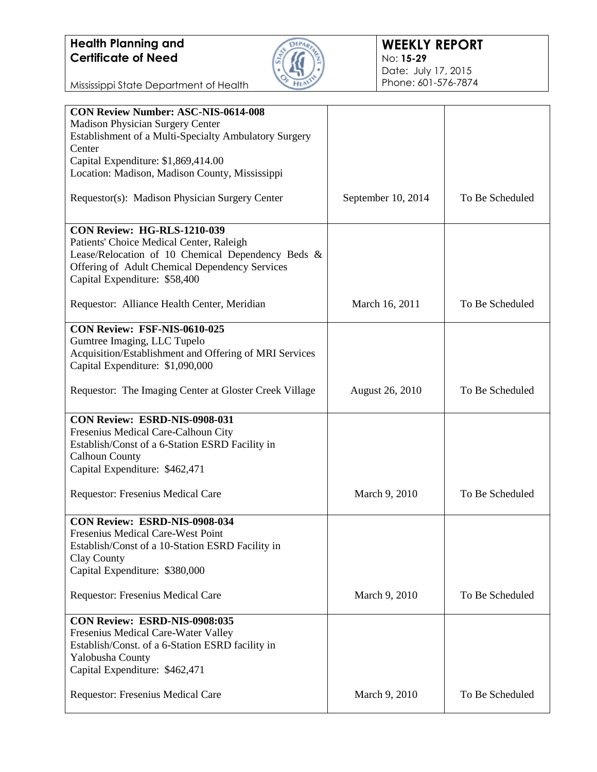## **Health Planning and Certificate of Need**



Mississippi State Department of Health

| <b>CON Review Number: ASC-NIS-0614-008</b>             |                        |                 |
|--------------------------------------------------------|------------------------|-----------------|
| Madison Physician Surgery Center                       |                        |                 |
| Establishment of a Multi-Specialty Ambulatory Surgery  |                        |                 |
| Center                                                 |                        |                 |
| Capital Expenditure: \$1,869,414.00                    |                        |                 |
| Location: Madison, Madison County, Mississippi         |                        |                 |
|                                                        |                        |                 |
| Requestor(s): Madison Physician Surgery Center         | September 10, 2014     | To Be Scheduled |
|                                                        |                        |                 |
|                                                        |                        |                 |
| <b>CON Review: HG-RLS-1210-039</b>                     |                        |                 |
| Patients' Choice Medical Center, Raleigh               |                        |                 |
| Lease/Relocation of 10 Chemical Dependency Beds &      |                        |                 |
| Offering of Adult Chemical Dependency Services         |                        |                 |
| Capital Expenditure: \$58,400                          |                        |                 |
|                                                        |                        |                 |
| Requestor: Alliance Health Center, Meridian            | March 16, 2011         | To Be Scheduled |
|                                                        |                        |                 |
| CON Review: FSF-NIS-0610-025                           |                        |                 |
| Gumtree Imaging, LLC Tupelo                            |                        |                 |
| Acquisition/Establishment and Offering of MRI Services |                        |                 |
|                                                        |                        |                 |
| Capital Expenditure: \$1,090,000                       |                        |                 |
|                                                        |                        |                 |
| Requestor: The Imaging Center at Gloster Creek Village | <b>August 26, 2010</b> | To Be Scheduled |
|                                                        |                        |                 |
| CON Review: ESRD-NIS-0908-031                          |                        |                 |
| Fresenius Medical Care-Calhoun City                    |                        |                 |
| Establish/Const of a 6-Station ESRD Facility in        |                        |                 |
| <b>Calhoun County</b>                                  |                        |                 |
| Capital Expenditure: \$462,471                         |                        |                 |
|                                                        |                        |                 |
|                                                        | March 9, 2010          | To Be Scheduled |
| Requestor: Fresenius Medical Care                      |                        |                 |
|                                                        |                        |                 |
| CON Review: ESRD-NIS-0908-034                          |                        |                 |
| <b>Fresenius Medical Care-West Point</b>               |                        |                 |
| Establish/Const of a 10-Station ESRD Facility in       |                        |                 |
| Clay County                                            |                        |                 |
| Capital Expenditure: \$380,000                         |                        |                 |
|                                                        |                        |                 |
| Requestor: Fresenius Medical Care                      | March 9, 2010          | To Be Scheduled |
|                                                        |                        |                 |
| CON Review: ESRD-NIS-0908:035                          |                        |                 |
| Fresenius Medical Care-Water Valley                    |                        |                 |
| Establish/Const. of a 6-Station ESRD facility in       |                        |                 |
| Yalobusha County                                       |                        |                 |
|                                                        |                        |                 |
| Capital Expenditure: \$462,471                         |                        |                 |
|                                                        |                        |                 |
| Requestor: Fresenius Medical Care                      | March 9, 2010          | To Be Scheduled |
|                                                        |                        |                 |